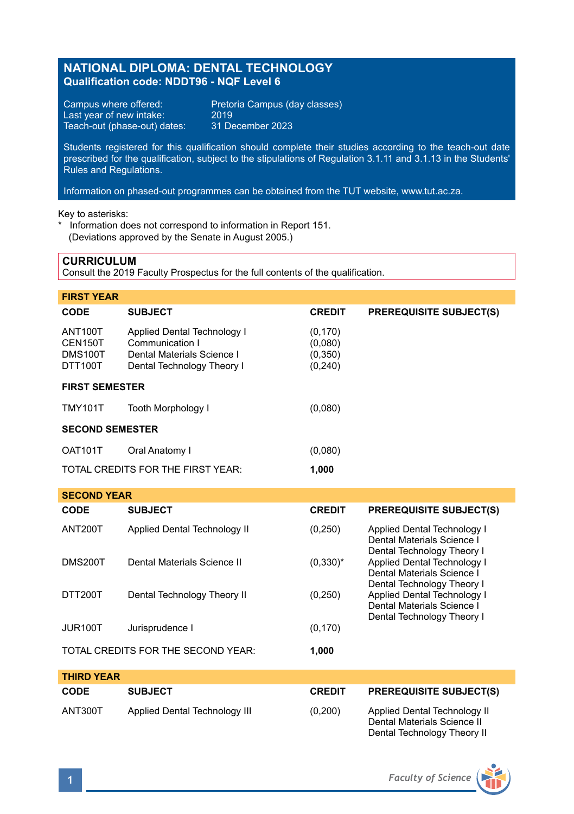# **NATIONAL DIPLOMA: DENTAL TECHNOLOGY Qualification code: NDDT96 - NQF Level 6**

Last year of new intake: 2019<br>Teach-out (phase-out) dates: 31 December 2023 Teach-out (phase-out) dates:

Campus where offered: Pretoria Campus (day classes)<br>Last year of new intake: 2019

Students registered for this qualification should complete their studies according to the teach-out date prescribed for the qualification, subject to the stipulations of Regulation 3.1.11 and 3.1.13 in the Students' Rules and Regulations.

Information on phased-out programmes can be obtained from the TUT website, www.tut.ac.za.

Key to asterisks:

\* Information does not correspond to information in Report 151. (Deviations approved by the Senate in August 2005.)

### **CURRICULUM**

Consult the 2019 Faculty Prospectus for the full contents of the qualification.

| <b>FIRST YEAR</b>                               |                                                                                                            |                                            |                                |  |  |
|-------------------------------------------------|------------------------------------------------------------------------------------------------------------|--------------------------------------------|--------------------------------|--|--|
| <b>CODE</b>                                     | <b>SUBJECT</b>                                                                                             | <b>CREDIT</b>                              | <b>PREREQUISITE SUBJECT(S)</b> |  |  |
| <b>ANT100T</b><br>CEN150T<br>DMS100T<br>DTT100T | Applied Dental Technology I<br>Communication I<br>Dental Materials Science I<br>Dental Technology Theory I | (0, 170)<br>(0,080)<br>(0,350)<br>(0, 240) |                                |  |  |
| <b>FIRST SEMESTER</b>                           |                                                                                                            |                                            |                                |  |  |
| <b>TMY101T</b>                                  | <b>Tooth Morphology I</b>                                                                                  | (0,080)                                    |                                |  |  |
| <b>SECOND SEMESTER</b>                          |                                                                                                            |                                            |                                |  |  |
| OAT101T                                         | Oral Anatomy I                                                                                             | (0,080)                                    |                                |  |  |
| TOTAL CREDITS FOR THE FIRST YEAR:<br>1,000      |                                                                                                            |                                            |                                |  |  |

| <b>SECOND YEAR</b>                          |                              |               |                                                                                         |  |  |
|---------------------------------------------|------------------------------|---------------|-----------------------------------------------------------------------------------------|--|--|
| <b>CODE</b>                                 | <b>SUBJECT</b>               | <b>CREDIT</b> | <b>PREREQUISITE SUBJECT(S)</b>                                                          |  |  |
| ANT200T                                     | Applied Dental Technology II | (0,250)       | Applied Dental Technology I<br>Dental Materials Science I<br>Dental Technology Theory I |  |  |
| <b>DMS200T</b>                              | Dental Materials Science II  | $(0,330)^{*}$ | Applied Dental Technology I<br>Dental Materials Science I<br>Dental Technology Theory I |  |  |
| DTT200T                                     | Dental Technology Theory II  | (0, 250)      | Applied Dental Technology I<br>Dental Materials Science I<br>Dental Technology Theory I |  |  |
| JUR <sub>100</sub> T                        | Jurisprudence I              | (0, 170)      |                                                                                         |  |  |
| TOTAL CREDITS FOR THE SECOND YEAR:<br>1.000 |                              |               |                                                                                         |  |  |

| <b>THIRD YEAR</b> |                               |               |                                                                                            |
|-------------------|-------------------------------|---------------|--------------------------------------------------------------------------------------------|
| CODE              | <b>SUBJECT</b>                | <b>CREDIT</b> | <b>PREREQUISITE SUBJECT(S)</b>                                                             |
| ANT300T           | Applied Dental Technology III | (0,200)       | Applied Dental Technology II<br>Dental Materials Science II<br>Dental Technology Theory II |

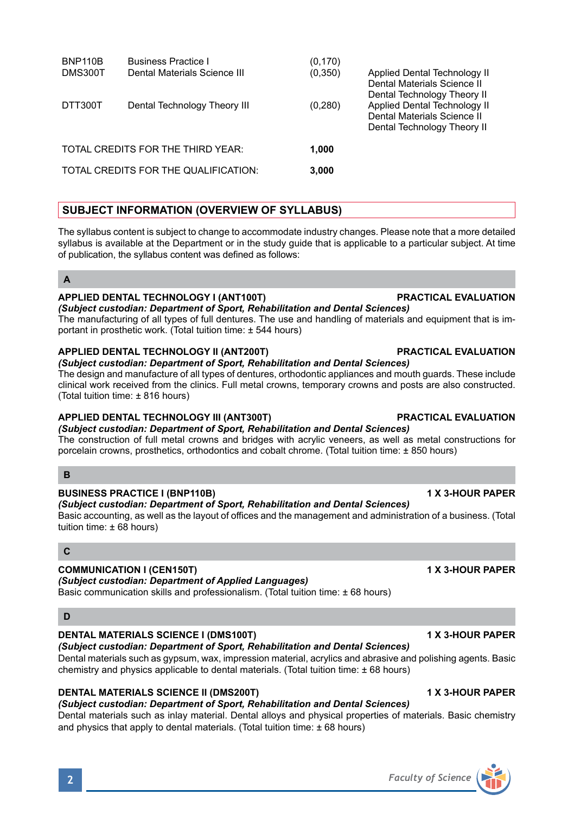| BNP110B<br>DMS300T | <b>Business Practice I</b><br>Dental Materials Science III | (0, 170)<br>(0, 350) | Applied Dental Technology II<br>Dental Materials Science II<br>Dental Technology Theory II |
|--------------------|------------------------------------------------------------|----------------------|--------------------------------------------------------------------------------------------|
| DTT300T            | Dental Technology Theory III                               | (0, 280)             | Applied Dental Technology II<br>Dental Materials Science II<br>Dental Technology Theory II |
|                    | TOTAL CREDITS FOR THE THIRD YEAR:                          | 1.000                |                                                                                            |
|                    | TOTAL CREDITS FOR THE QUALIFICATION:                       | 3,000                |                                                                                            |

## **SUBJECT INFORMATION (OVERVIEW OF SYLLABUS)**

The syllabus content is subject to change to accommodate industry changes. Please note that a more detailed syllabus is available at the Department or in the study guide that is applicable to a particular subject. At time of publication, the syllabus content was defined as follows:

### **A**

### **APPLIED DENTAL TECHNOLOGY I (ANT100T) PRACTICAL EVALUATION**

*(Subject custodian: Department of Sport, Rehabilitation and Dental Sciences)* The manufacturing of all types of full dentures. The use and handling of materials and equipment that is important in prosthetic work. (Total tuition time: ± 544 hours)

### **APPLIED DENTAL TECHNOLOGY II (ANT200T) PRACTICAL EVALUATION**

*(Subject custodian: Department of Sport, Rehabilitation and Dental Sciences)*

The design and manufacture of all types of dentures, orthodontic appliances and mouth guards. These include clinical work received from the clinics. Full metal crowns, temporary crowns and posts are also constructed. (Total tuition time: ± 816 hours)

### **APPLIED DENTAL TECHNOLOGY III (ANT300T) PRACTICAL EVALUATION**

*(Subject custodian: Department of Sport, Rehabilitation and Dental Sciences)* The construction of full metal crowns and bridges with acrylic veneers, as well as metal constructions for

porcelain crowns, prosthetics, orthodontics and cobalt chrome. (Total tuition time: ± 850 hours)

## **B**

### **BUSINESS PRACTICE I (BNP110B) 1 X 3-HOUR PAPER**

## *(Subject custodian: Department of Sport, Rehabilitation and Dental Sciences)*

Basic accounting, as well as the layout of offices and the management and administration of a business. (Total tuition time: ± 68 hours)

## **C**

### **COMMUNICATION I (CEN150T) 1 X 3-HOUR PAPER**

### *(Subject custodian: Department of Applied Languages)*

Basic communication skills and professionalism. (Total tuition time: ± 68 hours)

### **D**

### **DENTAL MATERIALS SCIENCE I (DMS100T) 1 X 3-HOUR PAPER**

## *(Subject custodian: Department of Sport, Rehabilitation and Dental Sciences)*

Dental materials such as gypsum, wax, impression material, acrylics and abrasive and polishing agents. Basic chemistry and physics applicable to dental materials. (Total tuition time: ± 68 hours)

### **DENTAL MATERIALS SCIENCE II (DMS200T) 1 X 3-HOUR PAPER**

### *(Subject custodian: Department of Sport, Rehabilitation and Dental Sciences)*

Dental materials such as inlay material. Dental alloys and physical properties of materials. Basic chemistry and physics that apply to dental materials. (Total tuition time: ± 68 hours)